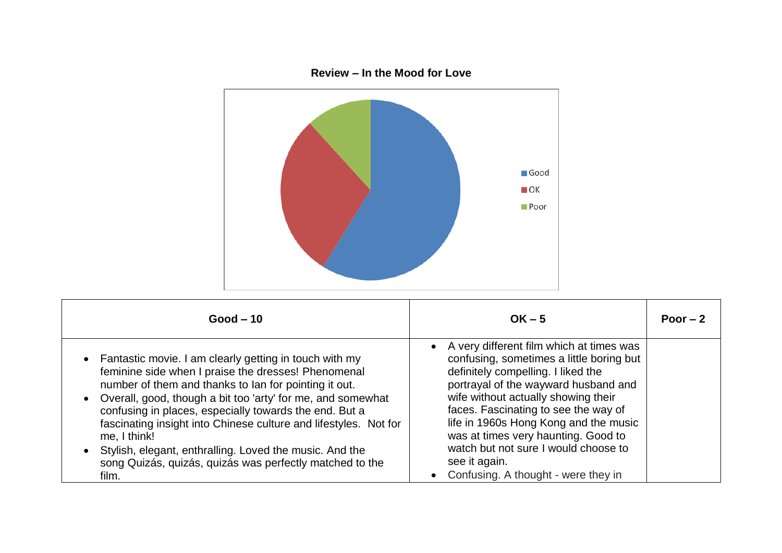

| $Good - 10$                                                                                                                                                                                                                                                                                                                                                                                                                                                                                                         | $OK - 5$                                                                                                                                                                                                                                                                                                                                                                                                                          | Poor $-2$ |
|---------------------------------------------------------------------------------------------------------------------------------------------------------------------------------------------------------------------------------------------------------------------------------------------------------------------------------------------------------------------------------------------------------------------------------------------------------------------------------------------------------------------|-----------------------------------------------------------------------------------------------------------------------------------------------------------------------------------------------------------------------------------------------------------------------------------------------------------------------------------------------------------------------------------------------------------------------------------|-----------|
| Fantastic movie. I am clearly getting in touch with my<br>feminine side when I praise the dresses! Phenomenal<br>number of them and thanks to lan for pointing it out.<br>Overall, good, though a bit too 'arty' for me, and somewhat<br>confusing in places, especially towards the end. But a<br>fascinating insight into Chinese culture and lifestyles. Not for<br>me, I think!<br>Stylish, elegant, enthralling. Loved the music. And the<br>song Quizás, quizás, quizás was perfectly matched to the<br>film. | A very different film which at times was<br>confusing, sometimes a little boring but<br>definitely compelling. I liked the<br>portrayal of the wayward husband and<br>wife without actually showing their<br>faces. Fascinating to see the way of<br>life in 1960s Hong Kong and the music<br>was at times very haunting. Good to<br>watch but not sure I would choose to<br>see it again.<br>Confusing. A thought - were they in |           |

## **Review – In the Mood for Love**